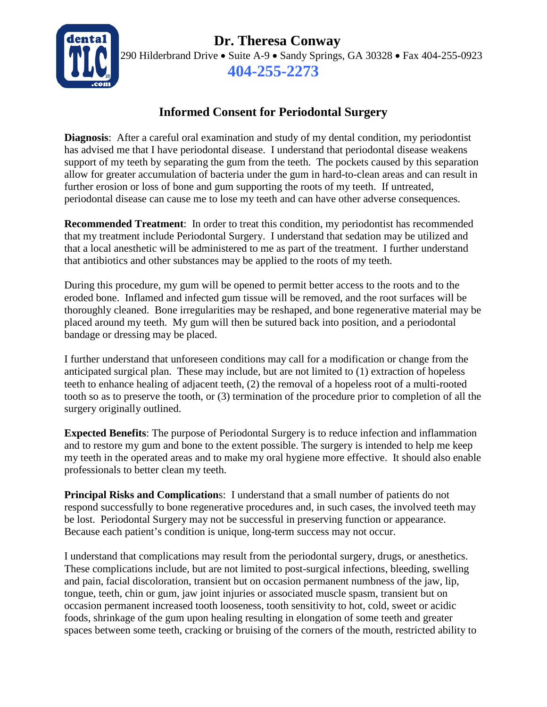**Dr. Theresa Conway**



290 Hilderbrand Drive • Suite A-9 • Sandy Springs, GA 30328 • Fax 404-255-0923 **404-255-2273**

## **Informed Consent for Periodontal Surgery**

**Diagnosis**: After a careful oral examination and study of my dental condition, my periodontist has advised me that I have periodontal disease. I understand that periodontal disease weakens support of my teeth by separating the gum from the teeth. The pockets caused by this separation allow for greater accumulation of bacteria under the gum in hard-to-clean areas and can result in further erosion or loss of bone and gum supporting the roots of my teeth. If untreated, periodontal disease can cause me to lose my teeth and can have other adverse consequences.

**Recommended Treatment**: In order to treat this condition, my periodontist has recommended that my treatment include Periodontal Surgery. I understand that sedation may be utilized and that a local anesthetic will be administered to me as part of the treatment. I further understand that antibiotics and other substances may be applied to the roots of my teeth.

During this procedure, my gum will be opened to permit better access to the roots and to the eroded bone. Inflamed and infected gum tissue will be removed, and the root surfaces will be thoroughly cleaned. Bone irregularities may be reshaped, and bone regenerative material may be placed around my teeth. My gum will then be sutured back into position, and a periodontal bandage or dressing may be placed.

I further understand that unforeseen conditions may call for a modification or change from the anticipated surgical plan. These may include, but are not limited to (1) extraction of hopeless teeth to enhance healing of adjacent teeth, (2) the removal of a hopeless root of a multi-rooted tooth so as to preserve the tooth, or (3) termination of the procedure prior to completion of all the surgery originally outlined.

**Expected Benefits**: The purpose of Periodontal Surgery is to reduce infection and inflammation and to restore my gum and bone to the extent possible. The surgery is intended to help me keep my teeth in the operated areas and to make my oral hygiene more effective. It should also enable professionals to better clean my teeth.

**Principal Risks and Complication**s: I understand that a small number of patients do not respond successfully to bone regenerative procedures and, in such cases, the involved teeth may be lost. Periodontal Surgery may not be successful in preserving function or appearance. Because each patient's condition is unique, long-term success may not occur.

I understand that complications may result from the periodontal surgery, drugs, or anesthetics. These complications include, but are not limited to post-surgical infections, bleeding, swelling and pain, facial discoloration, transient but on occasion permanent numbness of the jaw, lip, tongue, teeth, chin or gum, jaw joint injuries or associated muscle spasm, transient but on occasion permanent increased tooth looseness, tooth sensitivity to hot, cold, sweet or acidic foods, shrinkage of the gum upon healing resulting in elongation of some teeth and greater spaces between some teeth, cracking or bruising of the corners of the mouth, restricted ability to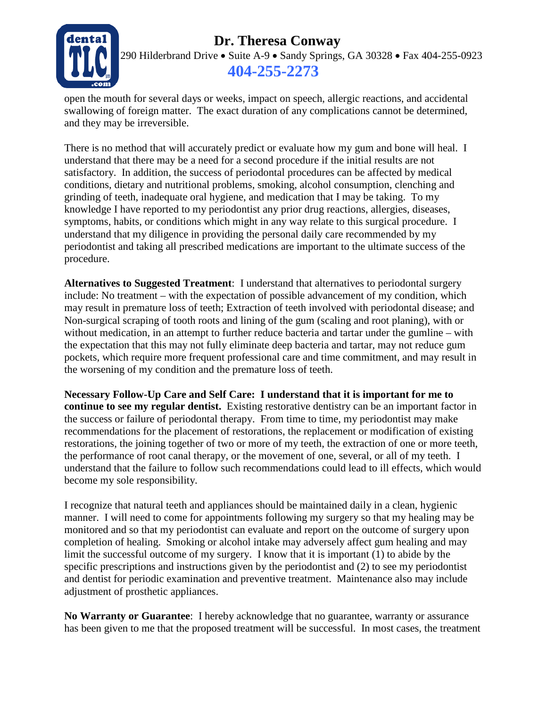## **Pr. Theresa Conway**



290 Hilderbrand Drive • Suite A-9 • Sandy Springs, GA 30328 • Fax 404-255-0923 **404-255-2273**

open the mouth for several days or weeks, impact on speech, allergic reactions, and accidental swallowing of foreign matter. The exact duration of any complications cannot be determined, and they may be irreversible.

There is no method that will accurately predict or evaluate how my gum and bone will heal. I understand that there may be a need for a second procedure if the initial results are not satisfactory. In addition, the success of periodontal procedures can be affected by medical conditions, dietary and nutritional problems, smoking, alcohol consumption, clenching and grinding of teeth, inadequate oral hygiene, and medication that I may be taking. To my knowledge I have reported to my periodontist any prior drug reactions, allergies, diseases, symptoms, habits, or conditions which might in any way relate to this surgical procedure. I understand that my diligence in providing the personal daily care recommended by my periodontist and taking all prescribed medications are important to the ultimate success of the procedure.

**Alternatives to Suggested Treatment**: I understand that alternatives to periodontal surgery include: No treatment – with the expectation of possible advancement of my condition, which may result in premature loss of teeth; Extraction of teeth involved with periodontal disease; and Non-surgical scraping of tooth roots and lining of the gum (scaling and root planing), with or without medication, in an attempt to further reduce bacteria and tartar under the gumline – with the expectation that this may not fully eliminate deep bacteria and tartar, may not reduce gum pockets, which require more frequent professional care and time commitment, and may result in the worsening of my condition and the premature loss of teeth.

**Necessary Follow-Up Care and Self Care: I understand that it is important for me to continue to see my regular dentist.** Existing restorative dentistry can be an important factor in the success or failure of periodontal therapy. From time to time, my periodontist may make recommendations for the placement of restorations, the replacement or modification of existing restorations, the joining together of two or more of my teeth, the extraction of one or more teeth, the performance of root canal therapy, or the movement of one, several, or all of my teeth. I understand that the failure to follow such recommendations could lead to ill effects, which would become my sole responsibility.

I recognize that natural teeth and appliances should be maintained daily in a clean, hygienic manner. I will need to come for appointments following my surgery so that my healing may be monitored and so that my periodontist can evaluate and report on the outcome of surgery upon completion of healing. Smoking or alcohol intake may adversely affect gum healing and may limit the successful outcome of my surgery. I know that it is important (1) to abide by the specific prescriptions and instructions given by the periodontist and (2) to see my periodontist and dentist for periodic examination and preventive treatment. Maintenance also may include adjustment of prosthetic appliances.

**No Warranty or Guarantee**: I hereby acknowledge that no guarantee, warranty or assurance has been given to me that the proposed treatment will be successful. In most cases, the treatment